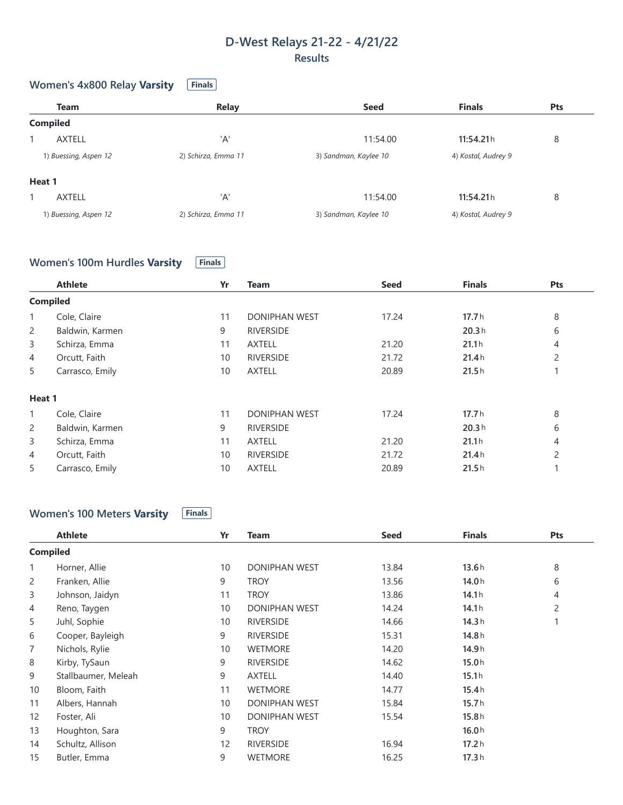### **D-West Relays 21-22 - 4/21/22 Results**

#### **Women's** 4x800 Relay Varsity **Finals**

|        | <b>Team</b>           | <b>Relay</b>        | <b>Seed</b>           | <b>Finals</b>       | <b>Pts</b> |
|--------|-----------------------|---------------------|-----------------------|---------------------|------------|
|        | <b>Compiled</b>       |                     |                       |                     |            |
|        | <b>AXTELL</b>         | 'A'                 | 11:54.00              | 11:54.21h           | 8          |
|        | 1) Buessing, Aspen 12 | 2) Schirza, Emma 11 | 3) Sandman, Kaylee 10 | 4) Kostal, Audrey 9 |            |
| Heat 1 |                       |                     |                       |                     |            |
|        | <b>AXTELL</b>         | 'A'                 | 11:54.00              | 11:54.21h           | 8          |
|        | 1) Buessing, Aspen 12 | 2) Schirza, Emma 11 | 3) Sandman, Kaylee 10 | 4) Kostal, Audrey 9 |            |

#### **Women's 100m** Hurdles **Varsity Finals**

|                 | <b>Athlete</b>  | Yr | <b>Team</b>          | <b>Seed</b> | <b>Finals</b> | Pts            |
|-----------------|-----------------|----|----------------------|-------------|---------------|----------------|
| <b>Compiled</b> |                 |    |                      |             |               |                |
| 1               | Cole, Claire    | 11 | <b>DONIPHAN WEST</b> | 17.24       | 17.7h         | 8              |
| 2               | Baldwin, Karmen | 9  | <b>RIVERSIDE</b>     |             | 20.3h         | 6              |
| 3               | Schirza, Emma   | 11 | <b>AXTELL</b>        | 21.20       | 21.1h         | 4              |
| 4               | Orcutt, Faith   | 10 | <b>RIVERSIDE</b>     | 21.72       | 21.4h         | $\overline{2}$ |
| 5               | Carrasco, Emily | 10 | <b>AXTELL</b>        | 20.89       | 21.5h         |                |
| Heat 1          |                 |    |                      |             |               |                |
| $\mathbf{1}$    | Cole, Claire    | 11 | <b>DONIPHAN WEST</b> | 17.24       | 17.7h         | 8              |
| 2               | Baldwin, Karmen | 9  | <b>RIVERSIDE</b>     |             | 20.3h         | 6              |
| $\mathsf{3}$    | Schirza, Emma   | 11 | <b>AXTELL</b>        | 21.20       | 21.1h         | 4              |
| 4               | Orcutt, Faith   | 10 | <b>RIVERSIDE</b>     | 21.72       | 21.4h         | $\overline{2}$ |
| 5               | Carrasco, Emily | 10 | <b>AXTELL</b>        | 20.89       | 21.5h         |                |

# **Women's 100 Meters Varsity Finals**

| <b>Athlete</b>      | Yr              | Team                 | <b>Seed</b> | <b>Finals</b> | Pts            |
|---------------------|-----------------|----------------------|-------------|---------------|----------------|
|                     |                 |                      |             |               |                |
| Horner, Allie       | 10              | <b>DONIPHAN WEST</b> | 13.84       | 13.6h         | 8              |
| Franken, Allie      | 9               | <b>TROY</b>          | 13.56       | 14.0h         | 6              |
| Johnson, Jaidyn     | 11              | <b>TROY</b>          | 13.86       | 14.1h         | $\overline{4}$ |
| Reno, Taygen        | 10              | <b>DONIPHAN WEST</b> | 14.24       | 14.1h         | $\overline{c}$ |
| Juhl, Sophie        | 10              | <b>RIVERSIDE</b>     | 14.66       | 14.3h         |                |
| Cooper, Bayleigh    | 9               | <b>RIVERSIDE</b>     | 15.31       | 14.8h         |                |
| Nichols, Rylie      | 10              | <b>WETMORE</b>       | 14.20       | 14.9h         |                |
| Kirby, TySaun       | 9               | <b>RIVERSIDE</b>     | 14.62       | 15.0h         |                |
| Stallbaumer, Meleah | 9               | <b>AXTELL</b>        | 14.40       | 15.1h         |                |
| Bloom, Faith        | 11              | <b>WETMORE</b>       | 14.77       | 15.4h         |                |
| Albers, Hannah      | 10              | <b>DONIPHAN WEST</b> | 15.84       | 15.7h         |                |
| Foster, Ali         | 10              | <b>DONIPHAN WEST</b> | 15.54       | 15.8h         |                |
| Houghton, Sara      | 9               | <b>TROY</b>          |             | 16.0h         |                |
| Schultz, Allison    | 12              | <b>RIVERSIDE</b>     | 16.94       | 17.2h         |                |
| Butler, Emma        | 9               | <b>WETMORE</b>       | 16.25       | 17.3h         |                |
|                     | <b>Compiled</b> |                      |             |               |                |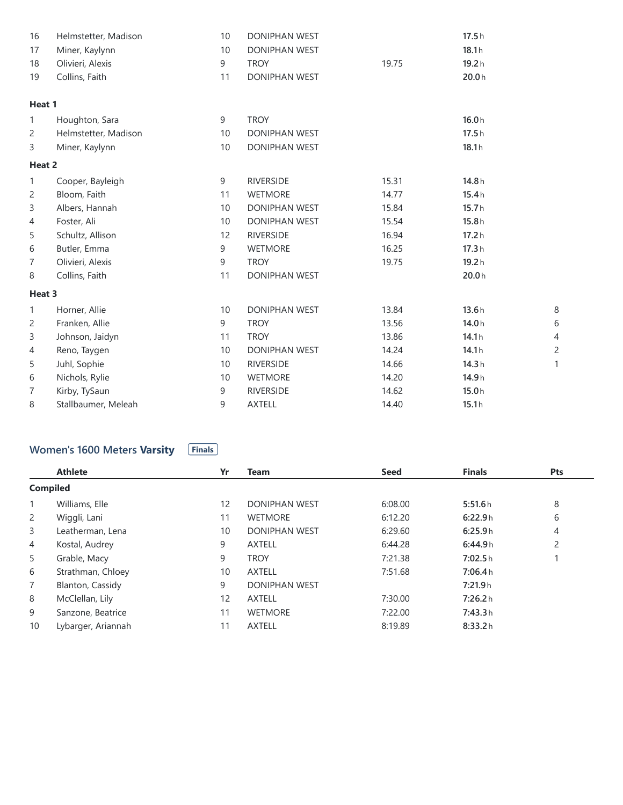| 16           | Helmstetter, Madison | 10 | DONIPHAN WEST        |       | 17.5h |                |
|--------------|----------------------|----|----------------------|-------|-------|----------------|
| 17           | Miner, Kaylynn       | 10 | DONIPHAN WEST        |       | 18.1h |                |
| 18           | Olivieri, Alexis     | 9  | <b>TROY</b>          | 19.75 | 19.2h |                |
| 19           | Collins, Faith       | 11 | DONIPHAN WEST        |       | 20.0h |                |
| Heat 1       |                      |    |                      |       |       |                |
| $\mathbf{1}$ | Houghton, Sara       | 9  | <b>TROY</b>          |       | 16.0h |                |
| 2            | Helmstetter, Madison | 10 | DONIPHAN WEST        |       | 17.5h |                |
| 3            | Miner, Kaylynn       | 10 | DONIPHAN WEST        |       | 18.1h |                |
| Heat 2       |                      |    |                      |       |       |                |
| 1            | Cooper, Bayleigh     | 9  | <b>RIVERSIDE</b>     | 15.31 | 14.8h |                |
| 2            | Bloom, Faith         | 11 | WETMORE              | 14.77 | 15.4h |                |
| 3            | Albers, Hannah       | 10 | DONIPHAN WEST        | 15.84 | 15.7h |                |
| 4            | Foster, Ali          | 10 | DONIPHAN WEST        | 15.54 | 15.8h |                |
| 5            | Schultz, Allison     | 12 | <b>RIVERSIDE</b>     | 16.94 | 17.2h |                |
| 6            | Butler, Emma         | 9  | <b>WETMORE</b>       | 16.25 | 17.3h |                |
| 7            | Olivieri, Alexis     | 9  | <b>TROY</b>          | 19.75 | 19.2h |                |
| 8            | Collins, Faith       | 11 | DONIPHAN WEST        |       | 20.0h |                |
| Heat 3       |                      |    |                      |       |       |                |
| $\mathbf{1}$ | Horner, Allie        | 10 | <b>DONIPHAN WEST</b> | 13.84 | 13.6h | 8              |
| 2            | Franken, Allie       | 9  | <b>TROY</b>          | 13.56 | 14.0h | 6              |
| 3            | Johnson, Jaidyn      | 11 | <b>TROY</b>          | 13.86 | 14.1h | 4              |
| 4            | Reno, Taygen         | 10 | <b>DONIPHAN WEST</b> | 14.24 | 14.1h | $\overline{c}$ |
| 5            | Juhl, Sophie         | 10 | <b>RIVERSIDE</b>     | 14.66 | 14.3h | 1              |
| 6            | Nichols, Rylie       | 10 | WETMORE              | 14.20 | 14.9h |                |
| 7            | Kirby, TySaun        | 9  | <b>RIVERSIDE</b>     | 14.62 | 15.0h |                |
| 8            | Stallbaumer, Meleah  | 9  | <b>AXTELL</b>        | 14.40 | 15.1h |                |

# **Women's** 1600 Meters **Varsity Finals**

|                 | <b>Athlete</b>     | Yr | <b>Team</b>          | <b>Seed</b> | <b>Finals</b> | Pts |
|-----------------|--------------------|----|----------------------|-------------|---------------|-----|
| <b>Compiled</b> |                    |    |                      |             |               |     |
|                 | Williams, Elle     | 12 | <b>DONIPHAN WEST</b> | 6:08.00     | 5:51.6h       | 8   |
| 2               | Wiggli, Lani       | 11 | <b>WETMORE</b>       | 6:12.20     | 6:22.9h       | 6   |
| 3               | Leatherman, Lena   | 10 | <b>DONIPHAN WEST</b> | 6:29.60     | 6:25.9h       | 4   |
| 4               | Kostal, Audrey     | 9  | <b>AXTELL</b>        | 6:44.28     | 6:44.9h       | 2   |
| 5               | Grable, Macy       | 9  | <b>TROY</b>          | 7:21.38     | 7:02.5h       |     |
| 6               | Strathman, Chloey  | 10 | <b>AXTELL</b>        | 7:51.68     | 7:06.4h       |     |
| $\overline{7}$  | Blanton, Cassidy   | 9  | <b>DONIPHAN WEST</b> |             | 7:21.9h       |     |
| 8               | McClellan, Lily    | 12 | <b>AXTELL</b>        | 7:30.00     | 7:26.2h       |     |
| 9               | Sanzone, Beatrice  | 11 | <b>WETMORE</b>       | 7:22.00     | 7:43.3h       |     |
| 10              | Lybarger, Ariannah | 11 | <b>AXTELL</b>        | 8:19.89     | 8:33.2h       |     |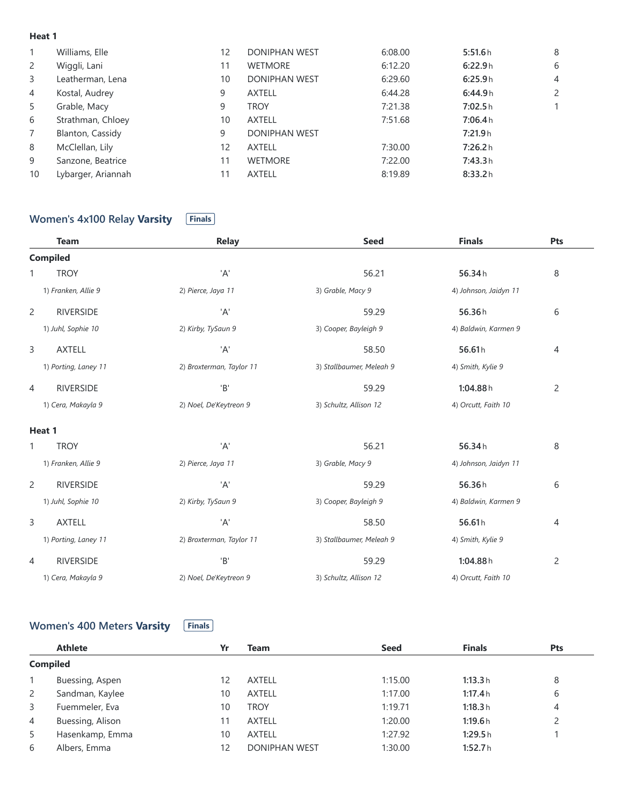#### **Heat 1**

| $\mathbf{1}$   | Williams, Elle     | 12 | <b>DONIPHAN WEST</b> | 6:08.00 | 5:51.6h | 8              |
|----------------|--------------------|----|----------------------|---------|---------|----------------|
| $\mathbf{2}$   | Wiggli, Lani       | 11 | <b>WETMORE</b>       | 6:12.20 | 6:22.9h | 6              |
| 3              | Leatherman, Lena   | 10 | <b>DONIPHAN WEST</b> | 6:29.60 | 6:25.9h | $\overline{4}$ |
| 4              | Kostal, Audrey     | 9  | <b>AXTELL</b>        | 6:44.28 | 6:44.9h | $\mathbf{2}$   |
| 5              | Grable, Macy       | 9  | <b>TROY</b>          | 7:21.38 | 7:02.5h |                |
| 6              | Strathman, Chloey  | 10 | <b>AXTELL</b>        | 7:51.68 | 7:06.4h |                |
| $\overline{7}$ | Blanton, Cassidy   | 9  | DONIPHAN WEST        |         | 7:21.9h |                |
| 8              | McClellan, Lily    | 12 | <b>AXTELL</b>        | 7:30.00 | 7:26.2h |                |
| 9              | Sanzone, Beatrice  | 11 | <b>WETMORE</b>       | 7:22.00 | 7:43.3h |                |
| 10             | Lybarger, Ariannah | 11 | <b>AXTELL</b>        | 8:19.89 | 8:33.2h |                |
|                |                    |    |                      |         |         |                |

# **Women's** 4x100 Relay **Varsity Finals**

| <b>Team</b>                        | <b>Relay</b>             | <b>Seed</b>              | <b>Finals</b>         | Pts            |
|------------------------------------|--------------------------|--------------------------|-----------------------|----------------|
| <b>Compiled</b>                    |                          |                          |                       |                |
| <b>TROY</b><br>1                   | 'A'                      | 56.21                    | 56.34h                | 8              |
| 1) Franken, Allie 9                | 2) Pierce, Jaya 11       | 3) Grable, Macy 9        | 4) Johnson, Jaidyn 11 |                |
| $\overline{2}$<br><b>RIVERSIDE</b> | 'A'                      | 59.29                    | 56.36h                | 6              |
| 1) Juhl, Sophie 10                 | 2) Kirby, TySaun 9       | 3) Cooper, Bayleigh 9    | 4) Baldwin, Karmen 9  |                |
| 3<br><b>AXTELL</b>                 | 'A'                      | 58.50                    | 56.61h                | 4              |
| 1) Porting, Laney 11               | 2) Broxterman, Taylor 11 | 3) Stallbaumer, Meleah 9 | 4) Smith, Kylie 9     |                |
| <b>RIVERSIDE</b><br>4              | 'B'                      | 59.29                    | 1:04.88h              | $\overline{c}$ |
| 1) Cera, Makayla 9                 | 2) Noel, De'Keytreon 9   | 3) Schultz, Allison 12   | 4) Orcutt, Faith 10   |                |
| Heat 1                             |                          |                          |                       |                |
| <b>TROY</b><br>1                   | 'A'                      | 56.21                    | 56.34h                | 8              |
| 1) Franken, Allie 9                | 2) Pierce, Jaya 11       | 3) Grable, Macy 9        | 4) Johnson, Jaidyn 11 |                |
| $\overline{2}$<br><b>RIVERSIDE</b> | 'A'                      | 59.29                    | 56.36h                | 6              |
| 1) Juhl, Sophie 10                 | 2) Kirby, TySaun 9       | 3) Cooper, Bayleigh 9    | 4) Baldwin, Karmen 9  |                |
| 3<br><b>AXTELL</b>                 | 'A'                      | 58.50                    | 56.61h                | 4              |
| 1) Porting, Laney 11               | 2) Broxterman, Taylor 11 | 3) Stallbaumer, Meleah 9 | 4) Smith, Kylie 9     |                |
| <b>RIVERSIDE</b><br>4              | 'B'                      | 59.29                    | 1:04.88h              | $\overline{c}$ |
| 1) Cera, Makayla 9                 | 2) Noel, De'Keytreon 9   | 3) Schultz, Allison 12   | 4) Orcutt, Faith 10   |                |

#### **Women's** 400 Meters **Varsity Finals**

|                 | <b>Athlete</b>   | Yr | Team                 | <b>Seed</b> | <b>Finals</b> | <b>Pts</b> |
|-----------------|------------------|----|----------------------|-------------|---------------|------------|
| <b>Compiled</b> |                  |    |                      |             |               |            |
|                 | Buessing, Aspen  | 12 | <b>AXTELL</b>        | 1:15.00     | 1:13.3h       | 8          |
| $\mathbf{2}$    | Sandman, Kaylee  | 10 | <b>AXTELL</b>        | 1:17.00     | 1:17.4h       | 6          |
| 3               | Fuemmeler, Eva   | 10 | <b>TROY</b>          | 1:19.71     | 1:18.3h       | 4          |
| 4               | Buessing, Alison |    | <b>AXTELL</b>        | 1:20.00     | 1:19.6h       | 2          |
| 5               | Hasenkamp, Emma  | 10 | <b>AXTELL</b>        | 1:27.92     | 1:29.5h       |            |
| 6               | Albers, Emma     | 12 | <b>DONIPHAN WEST</b> | 1:30.00     | 1:52.7h       |            |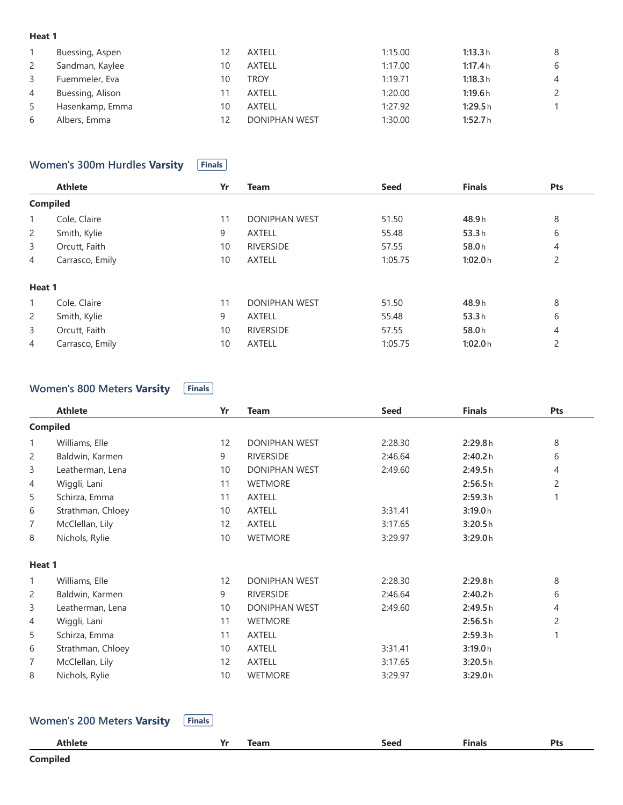#### **Heat 1**

|    | Buessing, Aspen  |    | <b>AXTELL</b>        | 1:15.00 | 1:13.3h | 8              |
|----|------------------|----|----------------------|---------|---------|----------------|
| 2  | Sandman, Kaylee  | 10 | <b>AXTELL</b>        | 1:17.00 | 1:17.4h | 6              |
| 3  | Fuemmeler, Eva   | 10 | <b>TROY</b>          | 1:19.71 | 1:18.3h | $\overline{4}$ |
| 4  | Buessing, Alison |    | AXTELL               | 1:20.00 | 1:19.6h | $\mathsf{2}$   |
| -5 | Hasenkamp, Emma  | 10 | <b>AXTELL</b>        | 1:27.92 | 1:29.5h |                |
| 6  | Albers, Emma     |    | <b>DONIPHAN WEST</b> | 1:30.00 | 1:52.7h |                |

#### **Women's 300m** Hurdles **Varsity Finals**

|                 | <b>Athlete</b>  | Yr | <b>Team</b>          | <b>Seed</b> | <b>Finals</b> | Pts            |
|-----------------|-----------------|----|----------------------|-------------|---------------|----------------|
| <b>Compiled</b> |                 |    |                      |             |               |                |
| $\mathbf{1}$    | Cole, Claire    | 11 | <b>DONIPHAN WEST</b> | 51.50       | 48.9h         | 8              |
| $\overline{2}$  | Smith, Kylie    | 9  | <b>AXTELL</b>        | 55.48       | 53.3h         | 6              |
| 3               | Orcutt, Faith   | 10 | <b>RIVERSIDE</b>     | 57.55       | 58.0h         | 4              |
| $\overline{4}$  | Carrasco, Emily | 10 | <b>AXTELL</b>        | 1:05.75     | 1:02.0h       | $\overline{c}$ |
| Heat 1          |                 |    |                      |             |               |                |
| $\mathbf{1}$    | Cole, Claire    | 11 | <b>DONIPHAN WEST</b> | 51.50       | 48.9h         | 8              |
| $\overline{2}$  | Smith, Kylie    | 9  | <b>AXTELL</b>        | 55.48       | 53.3h         | 6              |
| 3               | Orcutt, Faith   | 10 | <b>RIVERSIDE</b>     | 57.55       | 58.0h         | 4              |
| 4               | Carrasco, Emily | 10 | <b>AXTELL</b>        | 1:05.75     | 1:02.0h       | $\overline{2}$ |

## **Women's** 800 Meters **Varsity Finals**

|              | <b>Athlete</b>    | Yr | <b>Team</b>          | <b>Seed</b> | <b>Finals</b> | Pts            |
|--------------|-------------------|----|----------------------|-------------|---------------|----------------|
|              | <b>Compiled</b>   |    |                      |             |               |                |
| $\mathbf{1}$ | Williams, Elle    | 12 | <b>DONIPHAN WEST</b> | 2:28.30     | 2:29.8h       | 8              |
| 2            | Baldwin, Karmen   | 9  | <b>RIVERSIDE</b>     | 2:46.64     | 2:40.2 h      | 6              |
| 3            | Leatherman, Lena  | 10 | DONIPHAN WEST        | 2:49.60     | 2:49.5h       | $\overline{4}$ |
| 4            | Wiggli, Lani      | 11 | <b>WETMORE</b>       |             | 2:56.5h       | 2              |
| 5            | Schirza, Emma     | 11 | <b>AXTELL</b>        |             | 2:59.3h       | 1              |
| 6            | Strathman, Chloey | 10 | <b>AXTELL</b>        | 3:31.41     | 3:19.0h       |                |
| 7            | McClellan, Lily   | 12 | <b>AXTELL</b>        | 3:17.65     | 3:20.5h       |                |
| 8            | Nichols, Rylie    | 10 | <b>WETMORE</b>       | 3:29.97     | 3:29.0h       |                |
| Heat 1       |                   |    |                      |             |               |                |
| 1            | Williams, Elle    | 12 | <b>DONIPHAN WEST</b> | 2:28.30     | 2:29.8h       | 8              |
| 2            | Baldwin, Karmen   | 9  | <b>RIVERSIDE</b>     | 2:46.64     | 2:40.2 h      | 6              |
| 3            | Leatherman, Lena  | 10 | DONIPHAN WEST        | 2:49.60     | 2:49.5h       | 4              |
| 4            | Wiggli, Lani      | 11 | <b>WETMORE</b>       |             | 2:56.5h       | $\overline{c}$ |
| 5            | Schirza, Emma     | 11 | <b>AXTELL</b>        |             | 2:59.3h       | 1              |
| 6            | Strathman, Chloey | 10 | AXTELL               | 3:31.41     | 3:19.0h       |                |
| 7            | McClellan, Lily   | 12 | <b>AXTELL</b>        | 3:17.65     | 3:20.5h       |                |
| 8            | Nichols, Rylie    | 10 | <b>WETMORE</b>       | 3:29.97     | 3:29.0h       |                |
|              |                   |    |                      |             |               |                |

## **Women's** 200 Meters **Varsity Finals**

| Athlete         | $V -$<br>ш. | Team | <b>Seed</b><br>- - - - | <b>Finals</b><br>$\sim$ $\sim$ | Pts |
|-----------------|-------------|------|------------------------|--------------------------------|-----|
| <b>Compiled</b> |             |      |                        |                                |     |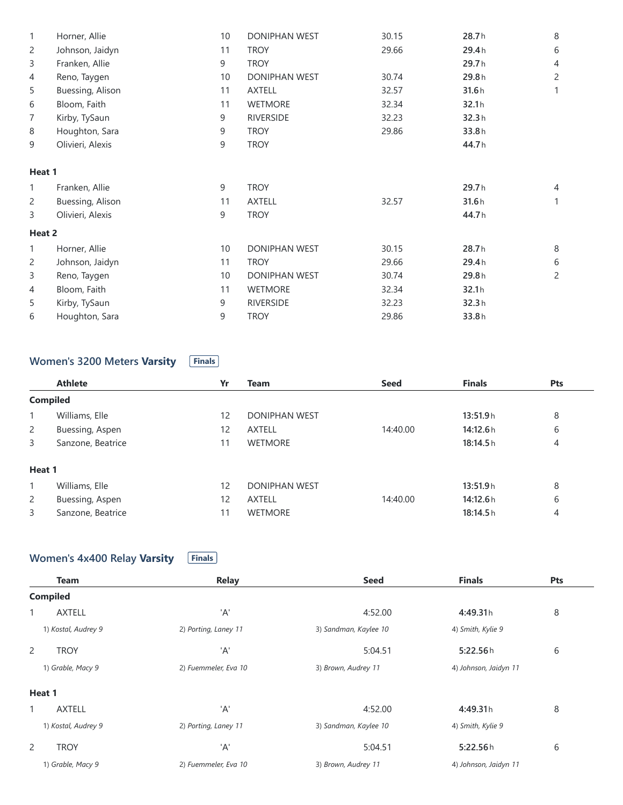| 1      | Horner, Allie    | 10 | DONIPHAN WEST        | 30.15 | 28.7h | 8              |
|--------|------------------|----|----------------------|-------|-------|----------------|
| 2      | Johnson, Jaidyn  | 11 | <b>TROY</b>          | 29.66 | 29.4h | 6              |
| 3      | Franken, Allie   | 9  | <b>TROY</b>          |       | 29.7h | 4              |
| 4      | Reno, Taygen     | 10 | DONIPHAN WEST        | 30.74 | 29.8h | 2              |
| 5      | Buessing, Alison | 11 | <b>AXTELL</b>        | 32.57 | 31.6h |                |
| 6      | Bloom, Faith     | 11 | <b>WETMORE</b>       | 32.34 | 32.1h |                |
| 7      | Kirby, TySaun    | 9  | <b>RIVERSIDE</b>     | 32.23 | 32.3h |                |
| 8      | Houghton, Sara   | 9  | <b>TROY</b>          | 29.86 | 33.8h |                |
| 9      | Olivieri, Alexis | 9  | <b>TROY</b>          |       | 44.7h |                |
| Heat 1 |                  |    |                      |       |       |                |
| 1      | Franken, Allie   | 9  | <b>TROY</b>          |       | 29.7h | $\overline{4}$ |
| 2      | Buessing, Alison | 11 | <b>AXTELL</b>        | 32.57 | 31.6h |                |
| 3      | Olivieri, Alexis | 9  | <b>TROY</b>          |       | 44.7h |                |
| Heat 2 |                  |    |                      |       |       |                |
| 1      | Horner, Allie    | 10 | <b>DONIPHAN WEST</b> | 30.15 | 28.7h | 8              |
| 2      | Johnson, Jaidyn  | 11 | <b>TROY</b>          | 29.66 | 29.4h | 6              |
| 3      | Reno, Taygen     | 10 | <b>DONIPHAN WEST</b> | 30.74 | 29.8h | 2              |
| 4      | Bloom, Faith     | 11 | <b>WETMORE</b>       | 32.34 | 32.1h |                |
| 5      | Kirby, TySaun    | 9  | <b>RIVERSIDE</b>     | 32.23 | 32.3h |                |
| 6      | Houghton, Sara   | 9  | <b>TROY</b>          | 29.86 | 33.8h |                |

# **Women's** 3200 Meters **Varsity Finals**

|                 | <b>Athlete</b>    | Yr | <b>Team</b>          | <b>Seed</b> | <b>Finals</b> | <b>Pts</b> |
|-----------------|-------------------|----|----------------------|-------------|---------------|------------|
| <b>Compiled</b> |                   |    |                      |             |               |            |
| 1               | Williams, Elle    | 12 | <b>DONIPHAN WEST</b> |             | 13:51.9h      | 8          |
| $\overline{2}$  | Buessing, Aspen   | 12 | <b>AXTELL</b>        | 14:40.00    | 14:12.6h      | 6          |
| 3               | Sanzone, Beatrice |    | <b>WETMORE</b>       |             | 18:14.5h      | 4          |
| Heat 1          |                   |    |                      |             |               |            |
|                 | Williams, Elle    | 12 | <b>DONIPHAN WEST</b> |             | 13:51.9h      | 8          |
| $\overline{2}$  | Buessing, Aspen   | 12 | <b>AXTELL</b>        | 14:40.00    | 14:12.6h      | 6          |
| 3               | Sanzone, Beatrice | 11 | <b>WETMORE</b>       |             | 18:14.5h      | 4          |

## **Women's** 4x400 Relay Varsity **Finals**

| <b>Team</b>         | <b>Relay</b>         | <b>Seed</b>           | <b>Finals</b>         | Pts |
|---------------------|----------------------|-----------------------|-----------------------|-----|
| <b>Compiled</b>     |                      |                       |                       |     |
| 1<br><b>AXTELL</b>  | 'A'                  | 4:52.00               | 4:49.31h              | 8   |
| 1) Kostal, Audrey 9 | 2) Porting, Laney 11 | 3) Sandman, Kaylee 10 | 4) Smith, Kylie 9     |     |
| 2<br><b>TROY</b>    | 'A'                  | 5:04.51               | 5:22.56h              | 6   |
| 1) Grable, Macy 9   | 2) Fuemmeler, Eva 10 | 3) Brown, Audrey 11   | 4) Johnson, Jaidyn 11 |     |
| Heat 1              |                      |                       |                       |     |
| <b>AXTELL</b>       | 'A'                  | 4:52.00               | 4:49.31h              | 8   |
| 1) Kostal, Audrey 9 | 2) Porting, Laney 11 | 3) Sandman, Kaylee 10 | 4) Smith, Kylie 9     |     |
| 2<br><b>TROY</b>    | 'A'                  | 5:04.51               | 5:22.56h              | 6   |
| 1) Grable, Macy 9   | 2) Fuemmeler, Eva 10 | 3) Brown, Audrey 11   | 4) Johnson, Jaidyn 11 |     |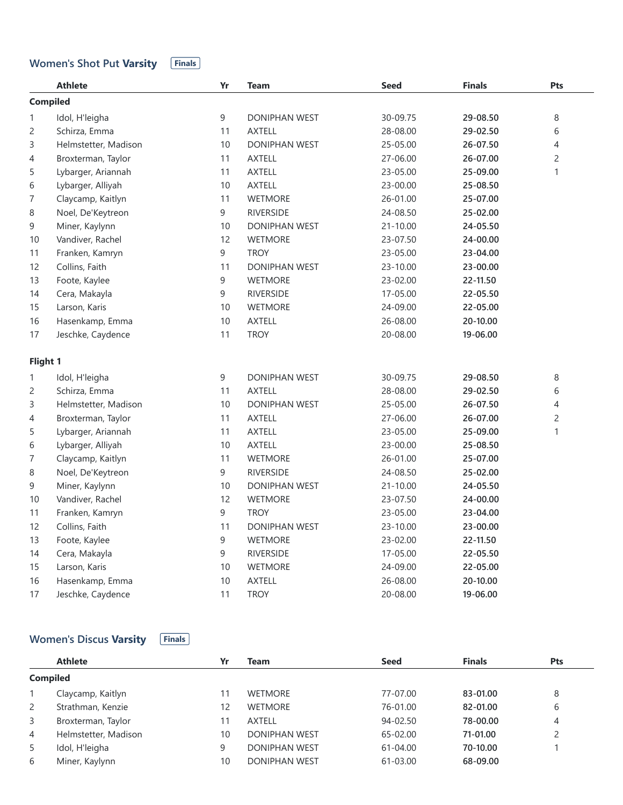#### **Women's Shot Put Varsity Finals**

|              | <b>Athlete</b>       | Yr | <b>Team</b>          | <b>Seed</b> | <b>Finals</b> | Pts            |
|--------------|----------------------|----|----------------------|-------------|---------------|----------------|
|              | <b>Compiled</b>      |    |                      |             |               |                |
| $\mathbf{1}$ | Idol, H'leigha       | 9  | <b>DONIPHAN WEST</b> | 30-09.75    | 29-08.50      | 8              |
| 2            | Schirza, Emma        | 11 | <b>AXTELL</b>        | 28-08.00    | 29-02.50      | 6              |
| 3            | Helmstetter, Madison | 10 | <b>DONIPHAN WEST</b> | 25-05.00    | 26-07.50      | $\overline{4}$ |
| 4            | Broxterman, Taylor   | 11 | <b>AXTELL</b>        | 27-06.00    | 26-07.00      | $\overline{c}$ |
| 5            | Lybarger, Ariannah   | 11 | <b>AXTELL</b>        | 23-05.00    | 25-09.00      | $\mathbf{1}$   |
| 6            | Lybarger, Alliyah    | 10 | <b>AXTELL</b>        | 23-00.00    | 25-08.50      |                |
| 7            | Claycamp, Kaitlyn    | 11 | WETMORE              | 26-01.00    | 25-07.00      |                |
| 8            | Noel, De'Keytreon    | 9  | <b>RIVERSIDE</b>     | 24-08.50    | 25-02.00      |                |
| 9            | Miner, Kaylynn       | 10 | DONIPHAN WEST        | 21-10.00    | 24-05.50      |                |
| 10           | Vandiver, Rachel     | 12 | <b>WETMORE</b>       | 23-07.50    | 24-00.00      |                |
| 11           | Franken, Kamryn      | 9  | <b>TROY</b>          | 23-05.00    | 23-04.00      |                |
| 12           | Collins, Faith       | 11 | <b>DONIPHAN WEST</b> | 23-10.00    | 23-00.00      |                |
| 13           | Foote, Kaylee        | 9  | WETMORE              | 23-02.00    | 22-11.50      |                |
| 14           | Cera, Makayla        | 9  | <b>RIVERSIDE</b>     | 17-05.00    | 22-05.50      |                |
| 15           | Larson, Karis        | 10 | <b>WETMORE</b>       | 24-09.00    | 22-05.00      |                |
| 16           | Hasenkamp, Emma      | 10 | <b>AXTELL</b>        | 26-08.00    | 20-10.00      |                |
| 17           | Jeschke, Caydence    | 11 | <b>TROY</b>          | 20-08.00    | 19-06.00      |                |
| Flight 1     |                      |    |                      |             |               |                |
| 1            | Idol, H'leigha       | 9  | <b>DONIPHAN WEST</b> | 30-09.75    | 29-08.50      | 8              |
| 2            | Schirza, Emma        | 11 | <b>AXTELL</b>        | 28-08.00    | 29-02.50      | 6              |
| 3            | Helmstetter, Madison | 10 | DONIPHAN WEST        | 25-05.00    | 26-07.50      | $\overline{4}$ |
| 4            | Broxterman, Taylor   | 11 | <b>AXTELL</b>        | 27-06.00    | 26-07.00      | $\overline{c}$ |
| 5            | Lybarger, Ariannah   | 11 | <b>AXTELL</b>        | 23-05.00    | 25-09.00      | $\mathbf{1}$   |
| 6            | Lybarger, Alliyah    | 10 | <b>AXTELL</b>        | 23-00.00    | 25-08.50      |                |
| 7            | Claycamp, Kaitlyn    | 11 | WETMORE              | 26-01.00    | 25-07.00      |                |
| 8            | Noel, De'Keytreon    | 9  | <b>RIVERSIDE</b>     | 24-08.50    | 25-02.00      |                |
| 9            | Miner, Kaylynn       | 10 | <b>DONIPHAN WEST</b> | 21-10.00    | 24-05.50      |                |
| 10           | Vandiver, Rachel     | 12 | WETMORE              | 23-07.50    | 24-00.00      |                |
| 11           | Franken, Kamryn      | 9  | <b>TROY</b>          | 23-05.00    | 23-04.00      |                |
| 12           | Collins, Faith       | 11 | <b>DONIPHAN WEST</b> | 23-10.00    | 23-00.00      |                |
| 13           | Foote, Kaylee        | 9  | <b>WETMORE</b>       | 23-02.00    | 22-11.50      |                |
| 14           | Cera, Makayla        | 9  | <b>RIVERSIDE</b>     | 17-05.00    | 22-05.50      |                |
| 15           | Larson, Karis        | 10 | <b>WETMORE</b>       | 24-09.00    | 22-05.00      |                |
| 16           | Hasenkamp, Emma      | 10 | <b>AXTELL</b>        | 26-08.00    | 20-10.00      |                |
| 17           | Jeschke, Caydence    | 11 | <b>TROY</b>          | 20-08.00    | 19-06.00      |                |

# **Women's Discus Varsity Finals**

|                | <b>Athlete</b>       | Yr | Team                 | <b>Seed</b>  | <b>Finals</b> | <b>Pts</b> |  |  |  |  |
|----------------|----------------------|----|----------------------|--------------|---------------|------------|--|--|--|--|
|                | <b>Compiled</b>      |    |                      |              |               |            |  |  |  |  |
|                | Claycamp, Kaitlyn    | 11 | <b>WETMORE</b>       | 77-07.00     | 83-01.00      | 8          |  |  |  |  |
| 2              | Strathman, Kenzie    | 12 | <b>WETMORE</b>       | 76-01.00     | 82-01.00      | 6          |  |  |  |  |
| 3              | Broxterman, Taylor   |    | AXTELL               | $94 - 02.50$ | 78-00.00      | 4          |  |  |  |  |
| $\overline{4}$ | Helmstetter, Madison | 10 | <b>DONIPHAN WEST</b> | 65-02.00     | 71-01.00      | 2          |  |  |  |  |
| -5             | Idol, H'leigha       | 9  | <b>DONIPHAN WEST</b> | $61 - 04.00$ | 70-10.00      |            |  |  |  |  |
| 6              | Miner, Kaylynn       | 10 | <b>DONIPHAN WEST</b> | 61-03.00     | 68-09.00      |            |  |  |  |  |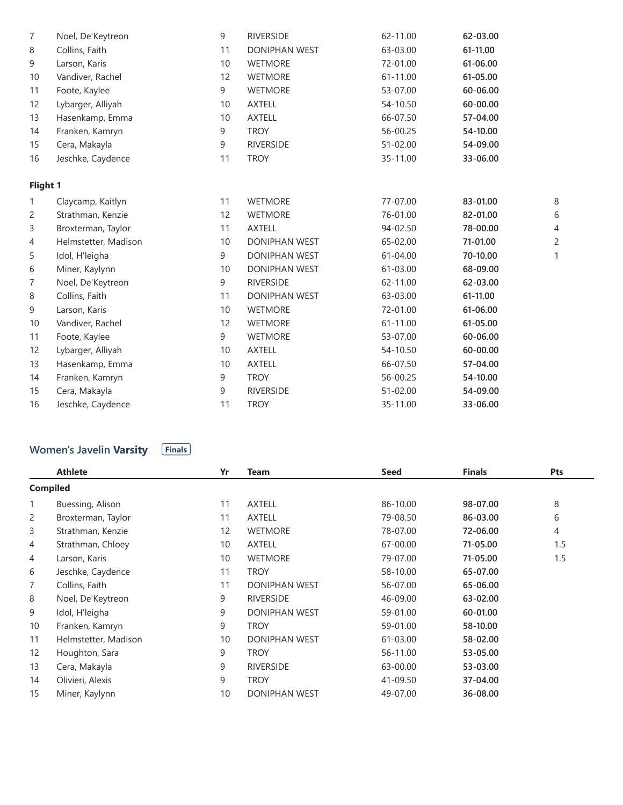|              | <b>Compiled</b>                                 |    |                      |             |               |                |
|--------------|-------------------------------------------------|----|----------------------|-------------|---------------|----------------|
|              | <b>Athlete</b>                                  | Yr | <b>Team</b>          | <b>Seed</b> | <b>Finals</b> | Pts            |
|              | <b>Women's Javelin Varsity</b><br><b>Finals</b> |    |                      |             |               |                |
| 16           | Jeschke, Caydence                               | 11 | <b>TROY</b>          | 35-11.00    | 33-06.00      |                |
| 15           | Cera, Makayla                                   | 9  | <b>RIVERSIDE</b>     | 51-02.00    | 54-09.00      |                |
| 14           | Franken, Kamryn                                 | 9  | <b>TROY</b>          | 56-00.25    | 54-10.00      |                |
| 13           | Hasenkamp, Emma                                 | 10 | <b>AXTELL</b>        | 66-07.50    | 57-04.00      |                |
| 12           | Lybarger, Alliyah                               | 10 | <b>AXTELL</b>        | 54-10.50    | 60-00.00      |                |
| 11           | Foote, Kaylee                                   | 9  | <b>WETMORE</b>       | 53-07.00    | 60-06.00      |                |
| 10           | Vandiver, Rachel                                | 12 | <b>WETMORE</b>       | 61-11.00    | 61-05.00      |                |
| 9            | Larson, Karis                                   | 10 | <b>WETMORE</b>       | 72-01.00    | 61-06.00      |                |
| 8            | Collins, Faith                                  | 11 | DONIPHAN WEST        | 63-03.00    | 61-11.00      |                |
| 7            | Noel, De'Keytreon                               | 9  | <b>RIVERSIDE</b>     | 62-11.00    | 62-03.00      |                |
| 6            | Miner, Kaylynn                                  | 10 | <b>DONIPHAN WEST</b> | 61-03.00    | 68-09.00      |                |
| 5            | Idol, H'leigha                                  | 9  | DONIPHAN WEST        | 61-04.00    | 70-10.00      | $\mathbf{1}$   |
| 4            | Helmstetter, Madison                            | 10 | DONIPHAN WEST        | 65-02.00    | 71-01.00      | $\overline{c}$ |
| 3            | Broxterman, Taylor                              | 11 | <b>AXTELL</b>        | 94-02.50    | 78-00.00      | $\overline{4}$ |
| 2            | Strathman, Kenzie                               | 12 | <b>WETMORE</b>       | 76-01.00    | 82-01.00      | 6              |
| $\mathbf{1}$ | Claycamp, Kaitlyn                               | 11 | <b>WETMORE</b>       | 77-07.00    | 83-01.00      | $\,8\,$        |
| Flight 1     |                                                 |    |                      |             |               |                |
| 16           | Jeschke, Caydence                               | 11 | <b>TROY</b>          | 35-11.00    | 33-06.00      |                |
| 15           | Cera, Makayla                                   | 9  | <b>RIVERSIDE</b>     | 51-02.00    | 54-09.00      |                |
| 14           | Franken, Kamryn                                 | 9  | <b>TROY</b>          | 56-00.25    | 54-10.00      |                |
| 13           | Hasenkamp, Emma                                 | 10 | <b>AXTELL</b>        | 66-07.50    | 57-04.00      |                |
| 12           | Lybarger, Alliyah                               | 10 | <b>AXTELL</b>        | 54-10.50    | 60-00.00      |                |
| 11           | Foote, Kaylee                                   | 9  | <b>WETMORE</b>       | 53-07.00    | 60-06.00      |                |
| 10           | Vandiver, Rachel                                | 12 | <b>WETMORE</b>       | 61-11.00    | 61-05.00      |                |
| 9            | Larson, Karis                                   | 10 | <b>WETMORE</b>       | 72-01.00    | 61-06.00      |                |
| 8            | Collins, Faith                                  | 11 | <b>DONIPHAN WEST</b> | 63-03.00    | 61-11.00      |                |
| 7            | Noel, De'Keytreon                               | 9  | <b>RIVERSIDE</b>     | 62-11.00    | 62-03.00      |                |

#### **Women's Javelin Varsity Finals**

|                 | <b>Athlete</b>       | Yr | <b>Team</b>          | <b>Seed</b> | <b>Finals</b> | Pts |
|-----------------|----------------------|----|----------------------|-------------|---------------|-----|
| <b>Compiled</b> |                      |    |                      |             |               |     |
| $\mathbf{1}$    | Buessing, Alison     | 11 | <b>AXTELL</b>        | 86-10.00    | 98-07.00      | 8   |
| 2               | Broxterman, Taylor   | 11 | <b>AXTELL</b>        | 79-08.50    | 86-03.00      | 6   |
| 3               | Strathman, Kenzie    | 12 | <b>WETMORE</b>       | 78-07.00    | 72-06.00      | 4   |
| 4               | Strathman, Chloey    | 10 | <b>AXTELL</b>        | 67-00.00    | 71-05.00      | 1.5 |
| 4               | Larson, Karis        | 10 | <b>WETMORE</b>       | 79-07.00    | 71-05.00      | 1.5 |
| 6               | Jeschke, Caydence    | 11 | <b>TROY</b>          | 58-10.00    | 65-07.00      |     |
| $\overline{7}$  | Collins, Faith       | 11 | <b>DONIPHAN WEST</b> | 56-07.00    | 65-06.00      |     |
| 8               | Noel, De'Keytreon    | 9  | <b>RIVERSIDE</b>     | 46-09.00    | 63-02.00      |     |
| 9               | Idol, H'leigha       | 9  | <b>DONIPHAN WEST</b> | 59-01.00    | 60-01.00      |     |
| 10              | Franken, Kamryn      | 9  | <b>TROY</b>          | 59-01.00    | 58-10.00      |     |
| 11              | Helmstetter, Madison | 10 | <b>DONIPHAN WEST</b> | 61-03.00    | 58-02.00      |     |
| 12              | Houghton, Sara       | 9  | <b>TROY</b>          | 56-11.00    | 53-05.00      |     |
| 13              | Cera, Makayla        | 9  | <b>RIVERSIDE</b>     | 63-00.00    | 53-03.00      |     |
| 14              | Olivieri, Alexis     | 9  | <b>TROY</b>          | 41-09.50    | 37-04.00      |     |
| 15              | Miner, Kaylynn       | 10 | <b>DONIPHAN WEST</b> | 49-07.00    | 36-08.00      |     |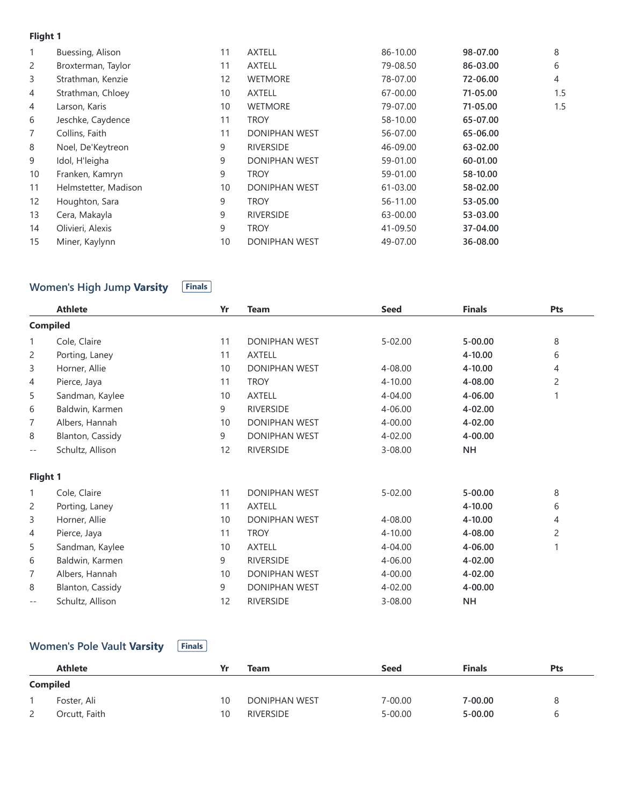#### **Flight 1**

| $\mathbf{1}$   | Buessing, Alison     | 11                | <b>AXTELL</b>        | 86-10.00 | 98-07.00 | 8              |
|----------------|----------------------|-------------------|----------------------|----------|----------|----------------|
| 2              | Broxterman, Taylor   | 11                | <b>AXTELL</b>        | 79-08.50 | 86-03.00 | 6              |
| 3              | Strathman, Kenzie    | $12 \overline{ }$ | <b>WETMORE</b>       | 78-07.00 | 72-06.00 | $\overline{4}$ |
| 4              | Strathman, Chloey    | 10                | <b>AXTELL</b>        | 67-00.00 | 71-05.00 | 1.5            |
| 4              | Larson, Karis        | 10                | <b>WETMORE</b>       | 79-07.00 | 71-05.00 | 1.5            |
| 6              | Jeschke, Caydence    | 11                | troy                 | 58-10.00 | 65-07.00 |                |
| $\overline{7}$ | Collins, Faith       | 11                | <b>DONIPHAN WEST</b> | 56-07.00 | 65-06.00 |                |
| 8              | Noel, De'Keytreon    | 9                 | <b>RIVERSIDE</b>     | 46-09.00 | 63-02.00 |                |
| 9              | Idol, H'leigha       | 9                 | <b>DONIPHAN WEST</b> | 59-01.00 | 60-01.00 |                |
| 10             | Franken, Kamryn      | 9                 | troy                 | 59-01.00 | 58-10.00 |                |
| 11             | Helmstetter, Madison | 10 <sup>°</sup>   | <b>DONIPHAN WEST</b> | 61-03.00 | 58-02.00 |                |
| 12             | Houghton, Sara       | 9                 | troy                 | 56-11.00 | 53-05.00 |                |
| 13             | Cera, Makayla        | 9                 | <b>RIVERSIDE</b>     | 63-00.00 | 53-03.00 |                |
| 14             | Olivieri, Alexis     | 9                 | <b>TROY</b>          | 41-09.50 | 37-04.00 |                |
| 15             | Miner, Kaylynn       | 10                | <b>DONIPHAN WEST</b> | 49-07.00 | 36-08.00 |                |

## **Women's High Jump Varsity Finals**

|        | <b>Athlete</b>   | Yr | <b>Team</b>          | <b>Seed</b> | <b>Finals</b> | Pts            |
|--------|------------------|----|----------------------|-------------|---------------|----------------|
|        | <b>Compiled</b>  |    |                      |             |               |                |
| 1      | Cole, Claire     | 11 | DONIPHAN WEST        | $5 - 02.00$ | $5 - 00.00$   | 8              |
| 2      | Porting, Laney   | 11 | <b>AXTELL</b>        |             | 4-10.00       | 6              |
| 3      | Horner, Allie    | 10 | DONIPHAN WEST        | 4-08.00     | 4-10.00       | 4              |
| 4      | Pierce, Jaya     | 11 | <b>TROY</b>          | 4-10.00     | 4-08.00       | $\overline{c}$ |
| 5      | Sandman, Kaylee  | 10 | <b>AXTELL</b>        | 4-04.00     | 4-06.00       |                |
| 6      | Baldwin, Karmen  | 9  | <b>RIVERSIDE</b>     | 4-06.00     | 4-02.00       |                |
| 7      | Albers, Hannah   | 10 | DONIPHAN WEST        | 4-00.00     | 4-02.00       |                |
| 8      | Blanton, Cassidy | 9  | <b>DONIPHAN WEST</b> | 4-02.00     | 4-00.00       |                |
| $-\,-$ | Schultz, Allison | 12 | <b>RIVERSIDE</b>     | $3 - 08.00$ | <b>NH</b>     |                |
|        | Flight 1         |    |                      |             |               |                |
| 1      | Cole, Claire     | 11 | <b>DONIPHAN WEST</b> | $5 - 02.00$ | $5 - 00.00$   | 8              |
| 2      | Porting, Laney   | 11 | <b>AXTELL</b>        |             | 4-10.00       | 6              |
| 3      | Horner, Allie    | 10 | <b>DONIPHAN WEST</b> | 4-08.00     | 4-10.00       | 4              |
| 4      | Pierce, Jaya     | 11 | <b>TROY</b>          | 4-10.00     | 4-08.00       | $\overline{c}$ |
| 5      | Sandman, Kaylee  | 10 | <b>AXTELL</b>        | 4-04.00     | 4-06.00       | 1              |
| 6      | Baldwin, Karmen  | 9  | <b>RIVERSIDE</b>     | 4-06.00     | 4-02.00       |                |
| 7      | Albers, Hannah   | 10 | DONIPHAN WEST        | 4-00.00     | 4-02.00       |                |
| 8      | Blanton, Cassidy | 9  | DONIPHAN WEST        | 4-02.00     | 4-00.00       |                |
| $-\,-$ | Schultz, Allison | 12 | <b>RIVERSIDE</b>     | $3 - 08.00$ | <b>NH</b>     |                |

## **Women's Pole Vault Varsity Finals**

|                 | <b>Athlete</b> |    | Team                 | <b>Seed</b> | <b>Finals</b> | Pts |  |  |
|-----------------|----------------|----|----------------------|-------------|---------------|-----|--|--|
| <b>Compiled</b> |                |    |                      |             |               |     |  |  |
|                 | Foster, Ali    | 10 | <b>DONIPHAN WEST</b> | 7-00.00     | 7-00.00       | 8   |  |  |
| <u>_</u>        | Orcutt, Faith  | 10 | <b>RIVERSIDE</b>     | 5-00.00     | $5 - 00.00$   | h   |  |  |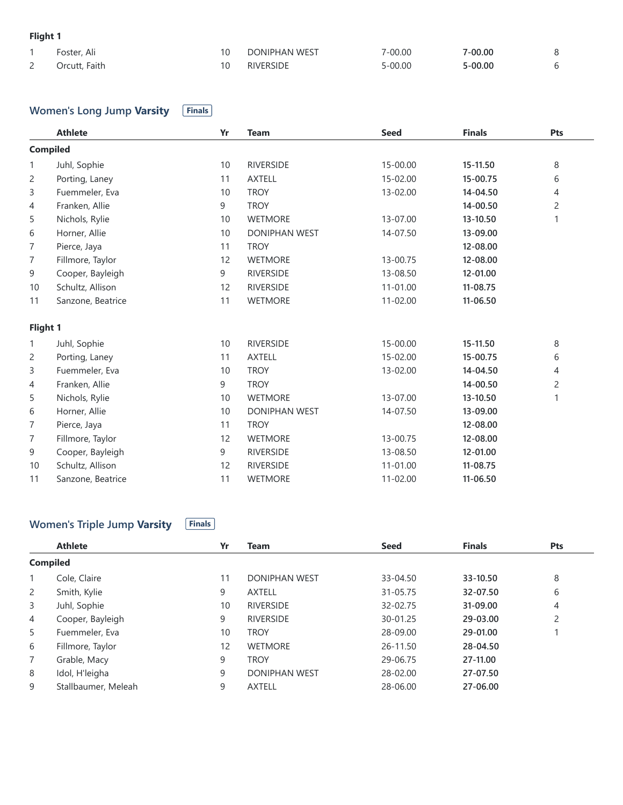## **Flight 1**

|          | Foster, Ali   | <b>DONIPHAN WEST</b> | 7-00.00     | $7 - 00.00$ |  |
|----------|---------------|----------------------|-------------|-------------|--|
| <u>_</u> | Orcutt, Faith | <b>RIVERSIDE</b>     | $5 - 00.00$ | $5 - 00.00$ |  |

# **Women's Long Jump Varsity Finals**

|                | <b>Athlete</b>    | Yr | <b>Team</b>          | <b>Seed</b>  | <b>Finals</b> | Pts            |
|----------------|-------------------|----|----------------------|--------------|---------------|----------------|
|                | <b>Compiled</b>   |    |                      |              |               |                |
| $\mathbf{1}$   | Juhl, Sophie      | 10 | <b>RIVERSIDE</b>     | 15-00.00     | 15-11.50      | 8              |
| $\overline{c}$ | Porting, Laney    | 11 | <b>AXTELL</b>        | 15-02.00     | 15-00.75      | 6              |
| 3              | Fuemmeler, Eva    | 10 | <b>TROY</b>          | 13-02.00     | 14-04.50      | 4              |
| 4              | Franken, Allie    | 9  | <b>TROY</b>          |              | 14-00.50      | $\overline{c}$ |
| 5              | Nichols, Rylie    | 10 | <b>WETMORE</b>       | 13-07.00     | 13-10.50      |                |
| 6              | Horner, Allie     | 10 | <b>DONIPHAN WEST</b> | 14-07.50     | 13-09.00      |                |
| 7              | Pierce, Jaya      | 11 | <b>TROY</b>          |              | 12-08.00      |                |
| 7              | Fillmore, Taylor  | 12 | <b>WETMORE</b>       | 13-00.75     | 12-08.00      |                |
| 9              | Cooper, Bayleigh  | 9  | <b>RIVERSIDE</b>     | 13-08.50     | 12-01.00      |                |
| 10             | Schultz, Allison  | 12 | <b>RIVERSIDE</b>     | $11 - 01.00$ | 11-08.75      |                |
| 11             | Sanzone, Beatrice | 11 | <b>WETMORE</b>       | 11-02.00     | 11-06.50      |                |
| Flight 1       |                   |    |                      |              |               |                |
| 1              | Juhl, Sophie      | 10 | <b>RIVERSIDE</b>     | 15-00.00     | 15-11.50      | 8              |
| $\overline{c}$ | Porting, Laney    | 11 | <b>AXTELL</b>        | 15-02.00     | 15-00.75      | 6              |
| 3              | Fuemmeler, Eva    | 10 | <b>TROY</b>          | 13-02.00     | 14-04.50      | 4              |
| 4              | Franken, Allie    | 9  | <b>TROY</b>          |              | 14-00.50      | $\overline{c}$ |
| 5              | Nichols, Rylie    | 10 | <b>WETMORE</b>       | 13-07.00     | 13-10.50      | 1              |
| 6              | Horner, Allie     | 10 | <b>DONIPHAN WEST</b> | 14-07.50     | 13-09.00      |                |
| 7              | Pierce, Jaya      | 11 | <b>TROY</b>          |              | 12-08.00      |                |
| 7              | Fillmore, Taylor  | 12 | <b>WETMORE</b>       | 13-00.75     | 12-08.00      |                |
| 9              | Cooper, Bayleigh  | 9  | <b>RIVERSIDE</b>     | 13-08.50     | 12-01.00      |                |
| 10             | Schultz, Allison  | 12 | <b>RIVERSIDE</b>     | 11-01.00     | 11-08.75      |                |
| 11             | Sanzone, Beatrice | 11 | <b>WETMORE</b>       | 11-02.00     | 11-06.50      |                |

## **Women's Triple Jump Varsity Finals**

|                 | <b>Athlete</b>      | Yr | <b>Team</b>          | <b>Seed</b> | <b>Finals</b> | Pts |
|-----------------|---------------------|----|----------------------|-------------|---------------|-----|
| <b>Compiled</b> |                     |    |                      |             |               |     |
| $\mathbf{1}$    | Cole, Claire        | 11 | <b>DONIPHAN WEST</b> | 33-04.50    | 33-10.50      | 8   |
| $\overline{2}$  | Smith, Kylie        | 9  | <b>AXTELL</b>        | 31-05.75    | 32-07.50      | 6   |
| 3               | Juhl, Sophie        | 10 | <b>RIVERSIDE</b>     | 32-02.75    | 31-09.00      | 4   |
| $\overline{4}$  | Cooper, Bayleigh    | 9  | <b>RIVERSIDE</b>     | 30-01.25    | 29-03.00      | 2   |
| 5               | Fuemmeler, Eva      | 10 | <b>TROY</b>          | 28-09.00    | 29-01.00      |     |
| 6               | Fillmore, Taylor    | 12 | <b>WETMORE</b>       | 26-11.50    | 28-04.50      |     |
| $\overline{7}$  | Grable, Macy        | 9  | <b>TROY</b>          | 29-06.75    | 27-11.00      |     |
| 8               | Idol, H'leigha      | 9  | <b>DONIPHAN WEST</b> | 28-02.00    | 27-07.50      |     |
| 9               | Stallbaumer, Meleah | 9  | <b>AXTELL</b>        | 28-06.00    | 27-06.00      |     |